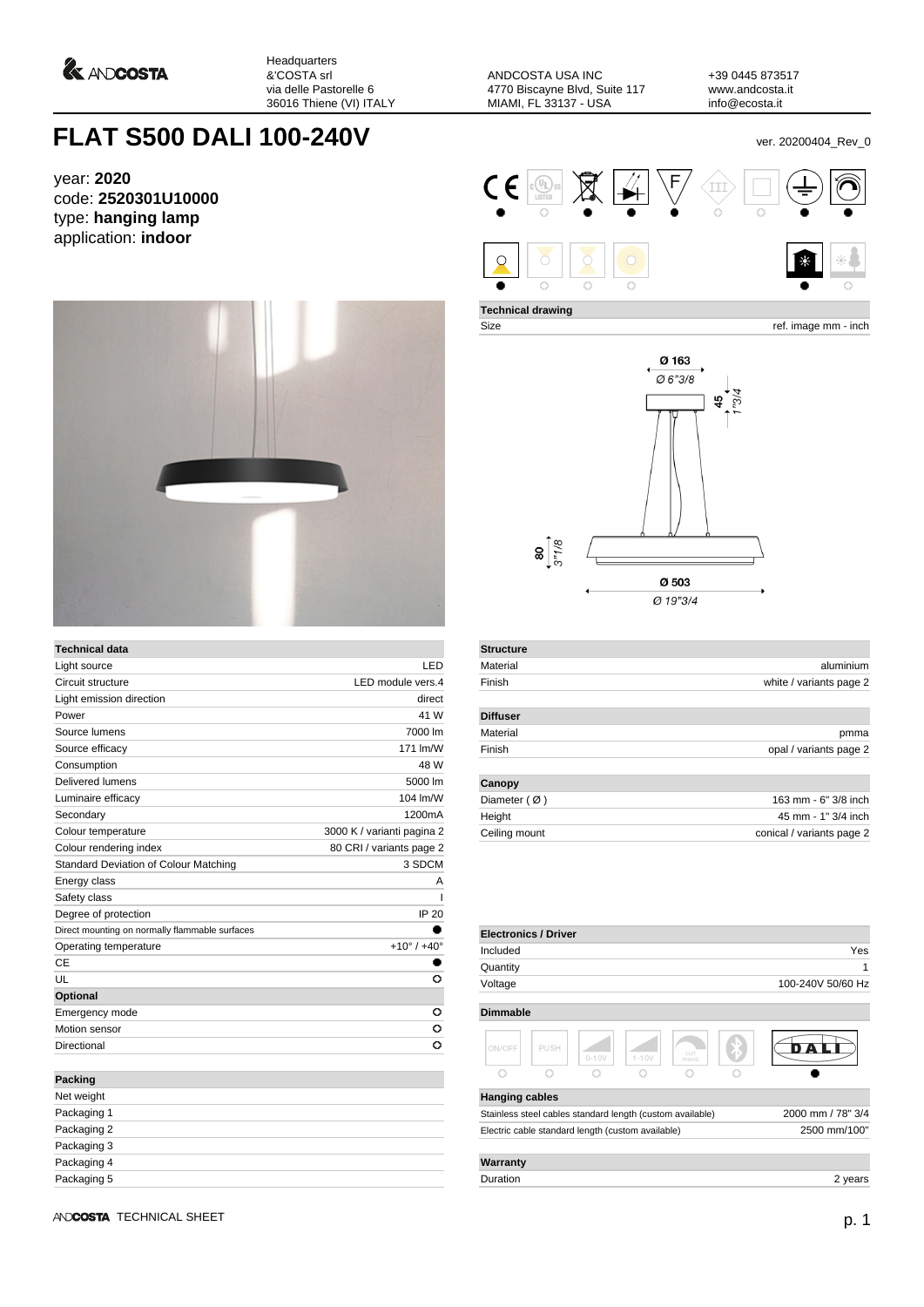

Headquarters &'COSTA srl via delle Pastorelle 6 36016 Thiene (VI) ITALY

ANDCOSTA USA INC 4770 Biscayne Blvd, Suite 117 MIAMI, FL 33137 - USA

+39 0445 873517 www.andcosta.it info@ecosta.it

## **FLAT S500 DALI 100-240V ver. 20200404\_Rev\_0**

year: **2020** code: **2520301U10000** type: **hanging lamp** application: **indoor**



| <b>Technical data</b>                          |                               |  |  |
|------------------------------------------------|-------------------------------|--|--|
| Light source                                   | LED                           |  |  |
| Circuit structure                              | LED module vers.4             |  |  |
| Light emission direction                       | direct                        |  |  |
| Power                                          | 41 W                          |  |  |
| Source lumens                                  | 7000 lm                       |  |  |
| Source efficacy                                | 171 lm/W                      |  |  |
| Consumption                                    | 48 W                          |  |  |
| Delivered lumens                               | 5000 lm                       |  |  |
| Luminaire efficacy                             | 104 lm/W                      |  |  |
| Secondary                                      | 1200mA                        |  |  |
| Colour temperature                             | 3000 K / varianti pagina 2    |  |  |
| Colour rendering index                         | 80 CRI / variants page 2      |  |  |
| Standard Deviation of Colour Matching          | 3 SDCM                        |  |  |
| Energy class                                   | A                             |  |  |
| Safety class                                   | ı                             |  |  |
| Degree of protection                           | IP 20                         |  |  |
| Direct mounting on normally flammable surfaces |                               |  |  |
| Operating temperature                          | $+10^{\circ}$ / $+40^{\circ}$ |  |  |
| CE                                             |                               |  |  |
| UL                                             | O                             |  |  |
| Optional                                       |                               |  |  |
| Emergency mode                                 | o                             |  |  |
| Motion sensor                                  | o                             |  |  |
| Directional                                    | Ō                             |  |  |
| <b>Packing</b>                                 |                               |  |  |
| Net weight                                     |                               |  |  |
| Dookoging 1                                    |                               |  |  |

| Net weight  |  |
|-------------|--|
| Packaging 1 |  |
| Packaging 2 |  |
| Packaging 3 |  |
| Packaging 4 |  |
| Packaging 5 |  |



**Technical drawing**

Size ref. image mm - inch



| <b>Structure</b>       |                           |  |  |
|------------------------|---------------------------|--|--|
| Material               | aluminium                 |  |  |
| Finish                 | white / variants page 2   |  |  |
| <b>Diffuser</b>        |                           |  |  |
| Material               | pmma                      |  |  |
| Finish                 | opal / variants page 2    |  |  |
| Canopy                 |                           |  |  |
| Diameter $(\emptyset)$ | 163 mm - 6" 3/8 inch      |  |  |
| Height                 | 45 mm - 1" 3/4 inch       |  |  |
| Ceiling mount          | conical / variants page 2 |  |  |
|                        |                           |  |  |

| <b>Electronics / Driver</b>                               |      |           |           |              |                   |                   |
|-----------------------------------------------------------|------|-----------|-----------|--------------|-------------------|-------------------|
| Included                                                  |      |           |           |              |                   | Yes               |
| Quantity                                                  |      |           |           |              |                   | 1                 |
| Voltage                                                   |      |           |           |              |                   | 100-240V 50/60 Hz |
| <b>Dimmable</b>                                           |      |           |           |              |                   |                   |
| ON/OFF                                                    | PUSH | $0 - 10V$ | $1 - 10V$ | CUT<br>PHASE |                   |                   |
| Ō                                                         | Ō    | n         |           | ∩            |                   |                   |
| <b>Hanging cables</b>                                     |      |           |           |              |                   |                   |
| Stainless steel cables standard length (custom available) |      |           |           |              | 2000 mm / 78" 3/4 |                   |
| Electric cable standard length (custom available)         |      |           |           |              |                   | 2500 mm/100"      |
| Warranty                                                  |      |           |           |              |                   |                   |
| Duration                                                  |      |           |           |              |                   | 2 years           |